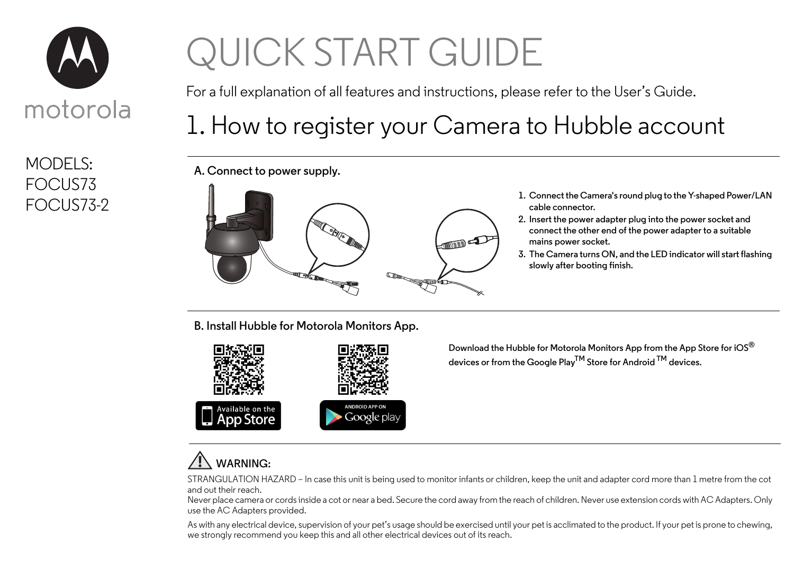

MODELS: FOCUS73

# QUICK START GUIDE

For a full explanation of all features and instructions, please refer to the User's Guide.

# 1. How to register your Camera to Hubble account

**A. Connect to power supply.**



- **cable connector.**
- **2. Insert the power adapter plug into the power socket and connect the other end of the power adapter to a suitable mains power socket.**
- **3. The Camera turns ON, and the LED indicator will start flashing slowly after booting finish.**

**B. Install Hubble for Motorola Monitors App.**



**Download the Hubble for Motorola Monitors App from the App Store for iOS® devices or from the Google PlayTM Store for Android TM devices.**

### **WARNING:**

STRANGULATION HAZARD – In case this unit is being used to monitor infants or children, keep the unit and adapter cord more than 1 metre from the cot and out their reach.

Never place camera or cords inside a cot or near a bed. Secure the cord away from the reach of children. Never use extension cords with AC Adapters. Only use the AC Adapters provided.

As with any electrical device, supervision of your pet's usage should be exercised until your pet is acclimated to the product. If your pet is prone to chewing, we strongly recommend you keep this and all other electrical devices out of its reach.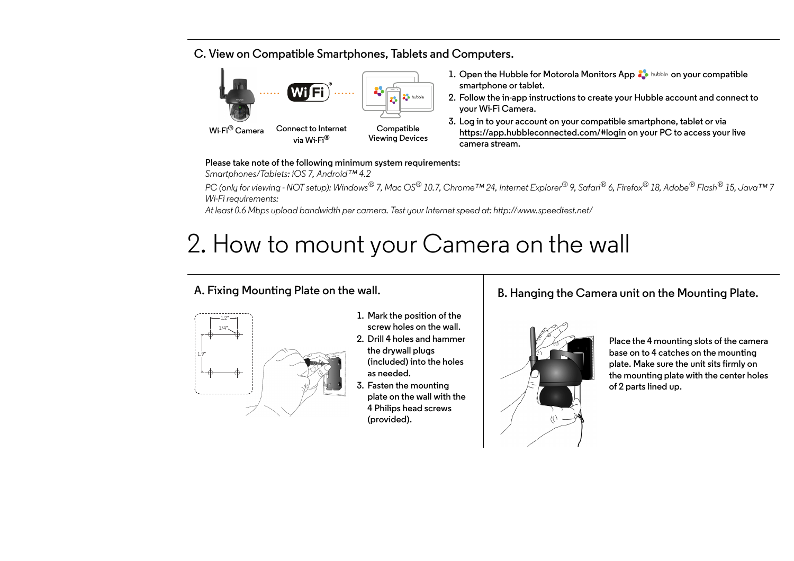#### **C. View on Compatible Smartphones, Tablets and Computers.**



- **1. Open the Hubble for Motorola Monitors App**  $\frac{1}{2}$  **hubble on your compatible smartphone or tablet.**
- **2. Follow the in-app instructions to create your Hubble account and connect to your Wi-Fi Camera.**
- **3. Log in to your account on your compatible smartphone, tablet or via https://app.hubbleconnected.com/#login on your PC to access your live camera stream.**

#### **Please take note of the following minimum system requirements:**

*Smartphones/Tablets: iOS 7, Android™ 4.2*

*PC (only for viewing - NOT setup): Windows® 7, Mac OS® 10.7, Chrome™ 24, Internet Explorer® 9, Safari® 6, Firefox® 18, Adobe® Flash® 15, Java™ 7 Wi-Fi requirements:* 

*At least 0.6 Mbps upload bandwidth per camera. Test your Internet speed at: http://www.speedtest.net/*

# 2. How to mount your Camera on the wall

#### **A. Fixing Mounting Plate on the wall.**



- **1. Mark the position of the screw holes on the wall.**
- **2. Drill 4 holes and hammer the drywall plugs (included) into the holes as needed.**
- **3. Fasten the mounting plate on the wall with the 4 Philips head screws (provided).**

### **B. Hanging the Camera unit on the Mounting Plate.**



**Place the 4 mounting slots of the camera base on to 4 catches on the mounting plate. Make sure the unit sits firmly on the mounting plate with the center holes of 2 parts lined up.**